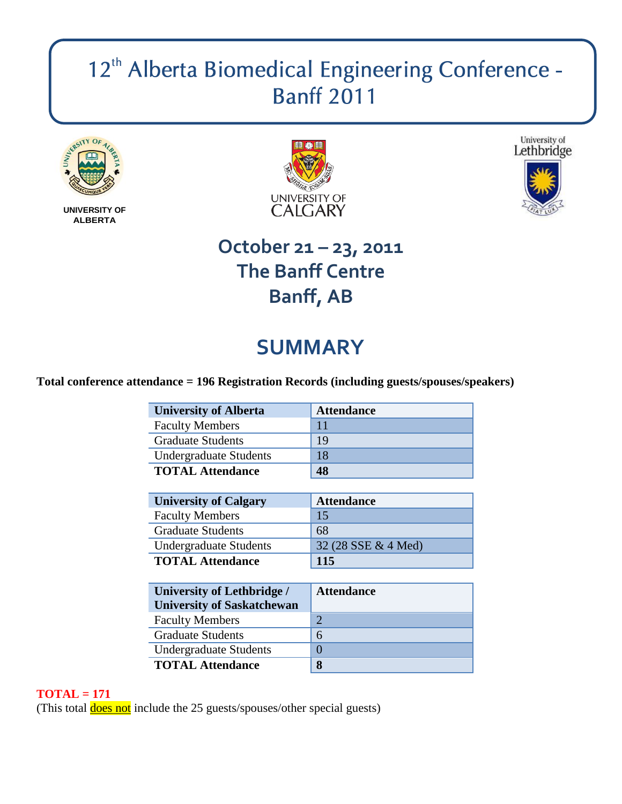# 12<sup>th</sup> Alberta Biomedical Engineering Conference -**Banff 2011**



**UNIVERSITY OF ALBERTA**





# **October 21 – 23, 2011 The Banff Centre Banff, AB**

# **SUMMARY**

## **Total conference attendance = 196 Registration Records (including guests/spouses/speakers)**

| <b>University of Alberta</b>  | <b>Attendance</b> |
|-------------------------------|-------------------|
| <b>Faculty Members</b>        |                   |
| <b>Graduate Students</b>      | 19                |
| <b>Undergraduate Students</b> | 18                |
| <b>TOTAL Attendance</b>       | 48                |

| <b>University of Calgary</b>  | <b>Attendance</b>   |
|-------------------------------|---------------------|
| <b>Faculty Members</b>        | 15                  |
| <b>Graduate Students</b>      | 68                  |
| <b>Undergraduate Students</b> | 32 (28 SSE & 4 Med) |
| <b>TOTAL Attendance</b>       | 115                 |

| <b>University of Lethbridge /</b><br><b>University of Saskatchewan</b> | <b>Attendance</b> |
|------------------------------------------------------------------------|-------------------|
| <b>Faculty Members</b>                                                 | 2                 |
| <b>Graduate Students</b>                                               | 6                 |
| <b>Undergraduate Students</b>                                          |                   |
| <b>TOTAL Attendance</b>                                                | 8                 |

### **TOTAL = 171**

(This total **does not** include the 25 guests/spouses/other special guests)